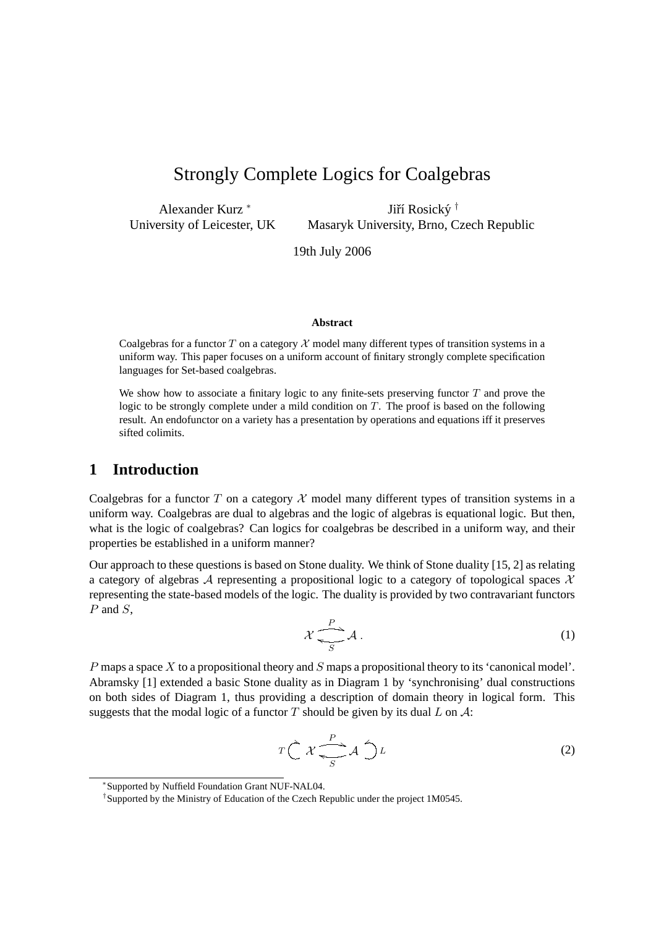# Strongly Complete Logics for Coalgebras

Alexander Kurz <sup>∗</sup> University of Leicester, UK

Jiří Rosický † Masaryk University, Brno, Czech Republic

19th July 2006

#### **Abstract**

Coalgebras for a functor T on a category  $X$  model many different types of transition systems in a uniform way. This paper focuses on a uniform account of finitary strongly complete specification languages for Set-based coalgebras.

We show how to associate a finitary logic to any finite-sets preserving functor  $T$  and prove the logic to be strongly complete under a mild condition on  $T$ . The proof is based on the following result. An endofunctor on a variety has a presentation by operations and equations iff it preserves sifted colimits.

#### **1 Introduction**

Coalgebras for a functor T on a category  $\mathcal X$  model many different types of transition systems in a uniform way. Coalgebras are dual to algebras and the logic of algebras is equational logic. But then, what is the logic of coalgebras? Can logics for coalgebras be described in a uniform way, and their properties be established in a uniform manner?

Our approach to these questions is based on Stone duality. We think of Stone duality [15, 2] as relating a category of algebras A representing a propositional logic to a category of topological spaces  $\mathcal X$ representing the state-based models of the logic. The duality is provided by two contravariant functors  $P$  and  $S$ .

$$
\mathcal{X} \xrightarrow[S]{P} \mathcal{A} \tag{1}
$$

P maps a space X to a propositional theory and S maps a propositional theory to its 'canonical model'. Abramsky [1] extended a basic Stone duality as in Diagram 1 by 'synchronising' dual constructions on both sides of Diagram 1, thus providing a description of domain theory in logical form. This suggests that the modal logic of a functor T should be given by its dual L on  $\mathcal{A}$ :

$$
T\bigg(\mathcal{X}\bigg)\overset{P}{\underset{S}{\longleftarrow}}\mathcal{A}\bigg)\mathcal{L}
$$
 (2)

<sup>∗</sup> Supported by Nuffield Foundation Grant NUF-NAL04.

<sup>†</sup> Supported by the Ministry of Education of the Czech Republic under the project 1M0545.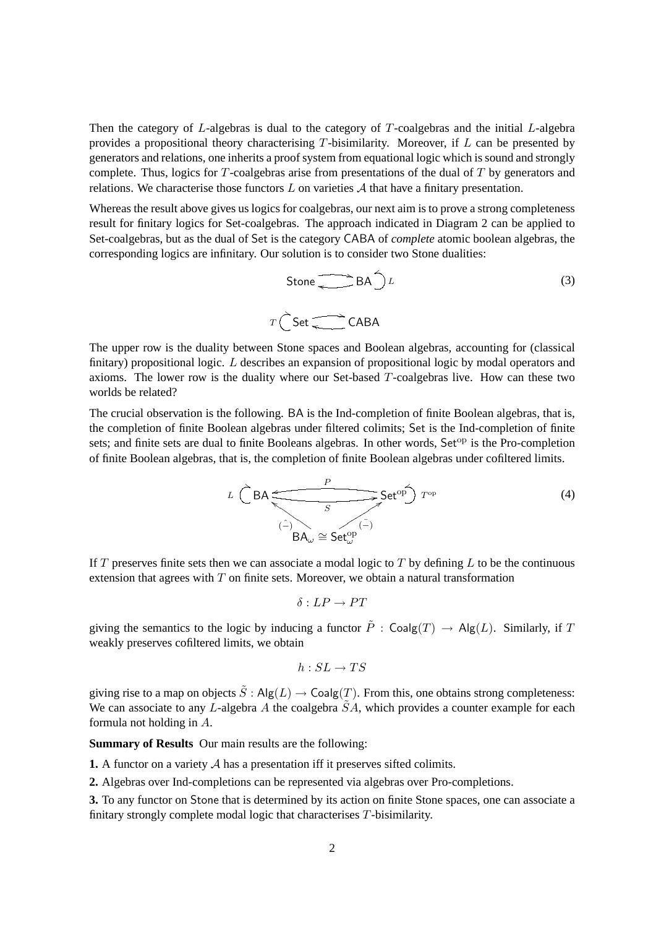Then the category of  $L$ -algebras is dual to the category of  $T$ -coalgebras and the initial  $L$ -algebra provides a propositional theory characterising  $T$ -bisimilarity. Moreover, if  $L$  can be presented by generators and relations, one inherits a proof system from equational logic which is sound and strongly complete. Thus, logics for  $T$ -coalgebras arise from presentations of the dual of  $T$  by generators and relations. We characterise those functors  $L$  on varieties  $A$  that have a finitary presentation.

Whereas the result above gives us logics for coalgebras, our next aim is to prove a strong completeness result for finitary logics for Set-coalgebras. The approach indicated in Diagram 2 can be applied to Set-coalgebras, but as the dual of Set is the category CABA of *complete* atomic boolean algebras, the corresponding logics are infinitary. Our solution is to consider two Stone dualities:

$$
Stone \longrightarrow BA \rightarrow L
$$
\n
$$
C Set \longrightarrow CABA
$$
\n(3)

The upper row is the duality between Stone spaces and Boolean algebras, accounting for (classical finitary) propositional logic. L describes an expansion of propositional logic by modal operators and axioms. The lower row is the duality where our Set-based  $T$ -coalgebras live. How can these two worlds be related?

 $\overline{T}$ 

The crucial observation is the following. BA is the Ind-completion of finite Boolean algebras, that is, the completion of finite Boolean algebras under filtered colimits; Set is the Ind-completion of finite sets; and finite sets are dual to finite Booleans algebras. In other words,  $Set^{op}$  is the Pro-completion of finite Boolean algebras, that is, the completion of finite Boolean algebras under cofiltered limits.

$$
L \stackrel{\frown}{\bigcap} BA \stackrel{P}{\xrightarrow{\qquad \qquad}} Set^{op} \stackrel{\frown}{\longrightarrow} T^{op}
$$
(4)  

$$
\stackrel{\frown}{BA_{\omega}} \cong Set_{\omega}^{op}
$$

If T preserves finite sets then we can associate a modal logic to T by defining L to be the continuous extension that agrees with  $T$  on finite sets. Moreover, we obtain a natural transformation

$$
\delta: LP \to PT
$$

giving the semantics to the logic by inducing a functor  $\tilde{P}$  : Coalg(T)  $\rightarrow$  Alg(L). Similarly, if T weakly preserves cofiltered limits, we obtain

$$
h:SL\to TS
$$

giving rise to a map on objects  $\tilde{S}$ : Alg $(L) \rightarrow \text{Coalg}(T)$ . From this, one obtains strong completeness: We can associate to any L-algebra A the coalgebra  $\tilde{S}A$ , which provides a counter example for each formula not holding in A.

**Summary of Results** Our main results are the following:

**1.** A functor on a variety A has a presentation iff it preserves sifted colimits.

**2.** Algebras over Ind-completions can be represented via algebras over Pro-completions.

**3.** To any functor on Stone that is determined by its action on finite Stone spaces, one can associate a finitary strongly complete modal logic that characterises T-bisimilarity.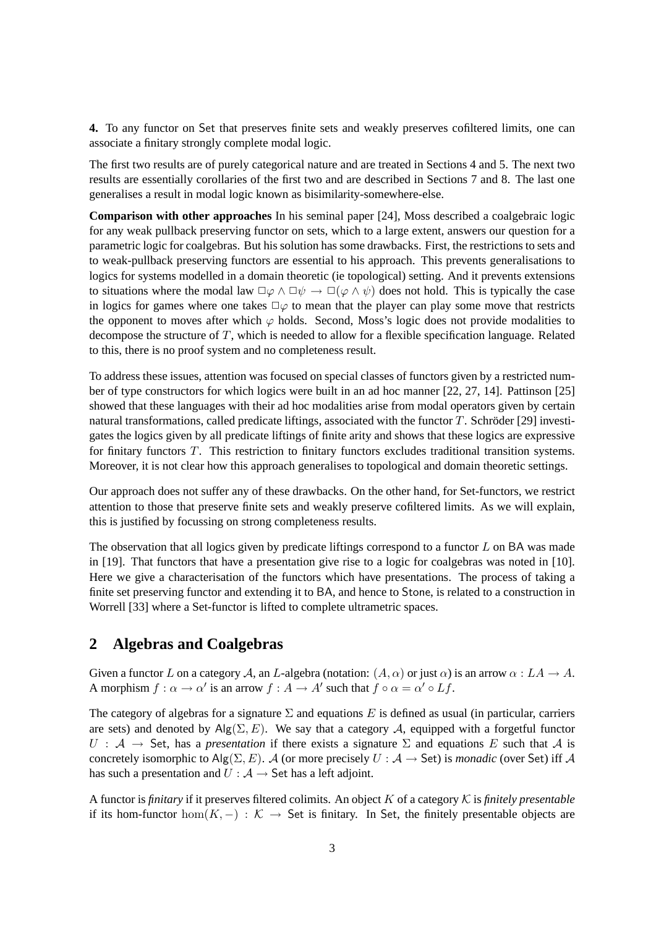**4.** To any functor on Set that preserves finite sets and weakly preserves cofiltered limits, one can associate a finitary strongly complete modal logic.

The first two results are of purely categorical nature and are treated in Sections 4 and 5. The next two results are essentially corollaries of the first two and are described in Sections 7 and 8. The last one generalises a result in modal logic known as bisimilarity-somewhere-else.

**Comparison with other approaches** In his seminal paper [24], Moss described a coalgebraic logic for any weak pullback preserving functor on sets, which to a large extent, answers our question for a parametric logic for coalgebras. But his solution has some drawbacks. First, the restrictions to sets and to weak-pullback preserving functors are essential to his approach. This prevents generalisations to logics for systems modelled in a domain theoretic (ie topological) setting. And it prevents extensions to situations where the modal law  $\Box \varphi \land \Box \psi \rightarrow \Box (\varphi \land \psi)$  does not hold. This is typically the case in logics for games where one takes  $\square \varphi$  to mean that the player can play some move that restricts the opponent to moves after which  $\varphi$  holds. Second, Moss's logic does not provide modalities to decompose the structure of T, which is needed to allow for a flexible specification language. Related to this, there is no proof system and no completeness result.

To address these issues, attention was focused on special classes of functors given by a restricted number of type constructors for which logics were built in an ad hoc manner [22, 27, 14]. Pattinson [25] showed that these languages with their ad hoc modalities arise from modal operators given by certain natural transformations, called predicate liftings, associated with the functor  $T$ . Schröder [29] investigates the logics given by all predicate liftings of finite arity and shows that these logics are expressive for finitary functors T. This restriction to finitary functors excludes traditional transition systems. Moreover, it is not clear how this approach generalises to topological and domain theoretic settings.

Our approach does not suffer any of these drawbacks. On the other hand, for Set-functors, we restrict attention to those that preserve finite sets and weakly preserve cofiltered limits. As we will explain, this is justified by focussing on strong completeness results.

The observation that all logics given by predicate liftings correspond to a functor  $L$  on BA was made in [19]. That functors that have a presentation give rise to a logic for coalgebras was noted in [10]. Here we give a characterisation of the functors which have presentations. The process of taking a finite set preserving functor and extending it to BA, and hence to Stone, is related to a construction in Worrell [33] where a Set-functor is lifted to complete ultrametric spaces.

# **2 Algebras and Coalgebras**

Given a functor L on a category A, an L-algebra (notation:  $(A, \alpha)$  or just  $\alpha$ ) is an arrow  $\alpha : LA \to A$ . A morphism  $f : \alpha \to \alpha'$  is an arrow  $f : A \to A'$  such that  $f \circ \alpha = \alpha' \circ Lf$ .

The category of algebras for a signature  $\Sigma$  and equations E is defined as usual (in particular, carriers are sets) and denoted by  $\text{Alg}(\Sigma, E)$ . We say that a category A, equipped with a forgetful functor  $U : A \rightarrow$  Set, has a *presentation* if there exists a signature  $\Sigma$  and equations E such that A is concretely isomorphic to Alg( $\Sigma, E$ ). A (or more precisely  $U : A \rightarrow$  Set) is *monadic* (over Set) iff A has such a presentation and  $U : A \rightarrow$  Set has a left adjoint.

A functor is *finitary* if it preserves filtered colimits. An object  $K$  of a category  $K$  is *finitely presentable* if its hom-functor hom $(K, -) : \mathcal{K} \to$  Set is finitary. In Set, the finitely presentable objects are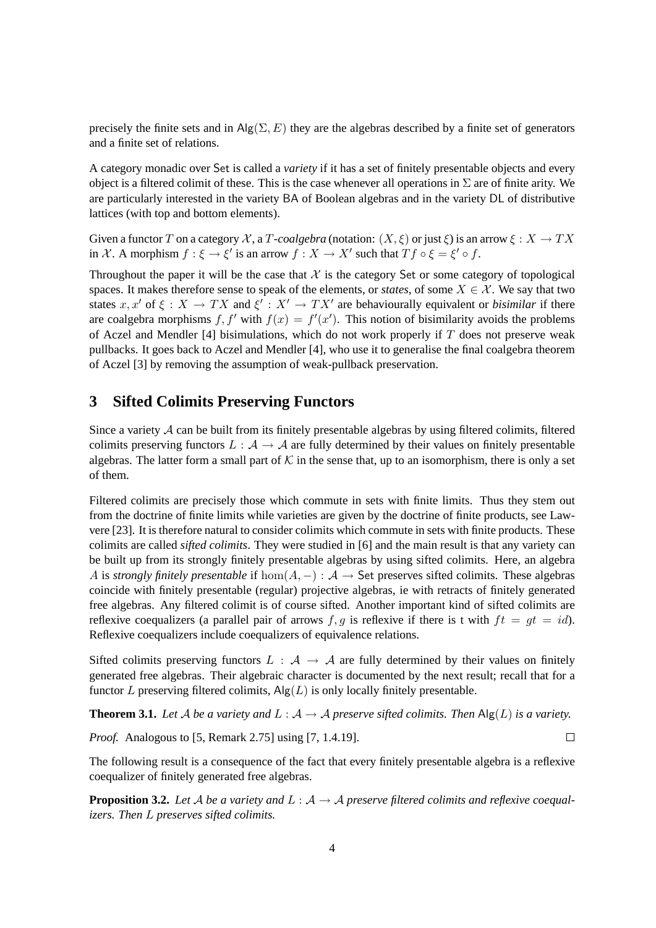precisely the finite sets and in  $\text{Alg}(\Sigma, E)$  they are the algebras described by a finite set of generators and a finite set of relations.

A category monadic over Set is called a *variety* if it has a set of finitely presentable objects and every object is a filtered colimit of these. This is the case whenever all operations in  $\Sigma$  are of finite arity. We are particularly interested in the variety BA of Boolean algebras and in the variety DL of distributive lattices (with top and bottom elements).

Given a functor T on a category X, a T-coalgebra (notation:  $(X, \xi)$  or just  $\xi$ ) is an arrow  $\xi : X \to TX$ in X. A morphism  $f : \xi \to \xi'$  is an arrow  $f : X \to X'$  such that  $Tf \circ \xi = \xi' \circ f$ .

Throughout the paper it will be the case that X is the category Set or some category of topological spaces. It makes therefore sense to speak of the elements, or *states*, of some  $X \in \mathcal{X}$ . We say that two states  $x, x'$  of  $\xi : X \to TX$  and  $\xi' : X' \to TX'$  are behaviourally equivalent or *bisimilar* if there are coalgebra morphisms f, f' with  $f(x) = f'(x')$ . This notion of bisimilarity avoids the problems of Aczel and Mendler [4] bisimulations, which do not work properly if  $T$  does not preserve weak pullbacks. It goes back to Aczel and Mendler [4], who use it to generalise the final coalgebra theorem of Aczel [3] by removing the assumption of weak-pullback preservation.

## **3 Sifted Colimits Preserving Functors**

Since a variety  $A$  can be built from its finitely presentable algebras by using filtered colimits, filtered colimits preserving functors  $L : A \rightarrow A$  are fully determined by their values on finitely presentable algebras. The latter form a small part of K in the sense that, up to an isomorphism, there is only a set of them.

Filtered colimits are precisely those which commute in sets with finite limits. Thus they stem out from the doctrine of finite limits while varieties are given by the doctrine of finite products, see Lawvere [23]. It is therefore natural to consider colimits which commute in sets with finite products. These colimits are called *sifted colimits*. They were studied in [6] and the main result is that any variety can be built up from its strongly finitely presentable algebras by using sifted colimits. Here, an algebra A is *strongly finitely presentable* if  $hom(A, -) : \mathcal{A} \to \mathsf{Set}$  preserves sifted colimits. These algebras coincide with finitely presentable (regular) projective algebras, ie with retracts of finitely generated free algebras. Any filtered colimit is of course sifted. Another important kind of sifted colimits are reflexive coequalizers (a parallel pair of arrows  $f, g$  is reflexive if there is t with  $ft = gt = id$ ). Reflexive coequalizers include coequalizers of equivalence relations.

Sifted colimits preserving functors  $L : A \rightarrow A$  are fully determined by their values on finitely generated free algebras. Their algebraic character is documented by the next result; recall that for a functor L preserving filtered colimits,  $\text{Alg}(L)$  is only locally finitely presentable.

**Theorem 3.1.** Let A be a variety and  $L : A \rightarrow A$  preserve sifted colimits. Then  $\text{Alg}(L)$  is a variety.

 $\Box$ 

*Proof.* Analogous to [5, Remark 2.75] using [7, 1.4.19].

The following result is a consequence of the fact that every finitely presentable algebra is a reflexive coequalizer of finitely generated free algebras.

**Proposition 3.2.** Let A be a variety and  $L : A \rightarrow A$  preserve filtered colimits and reflexive coequal*izers. Then* L *preserves sifted colimits.*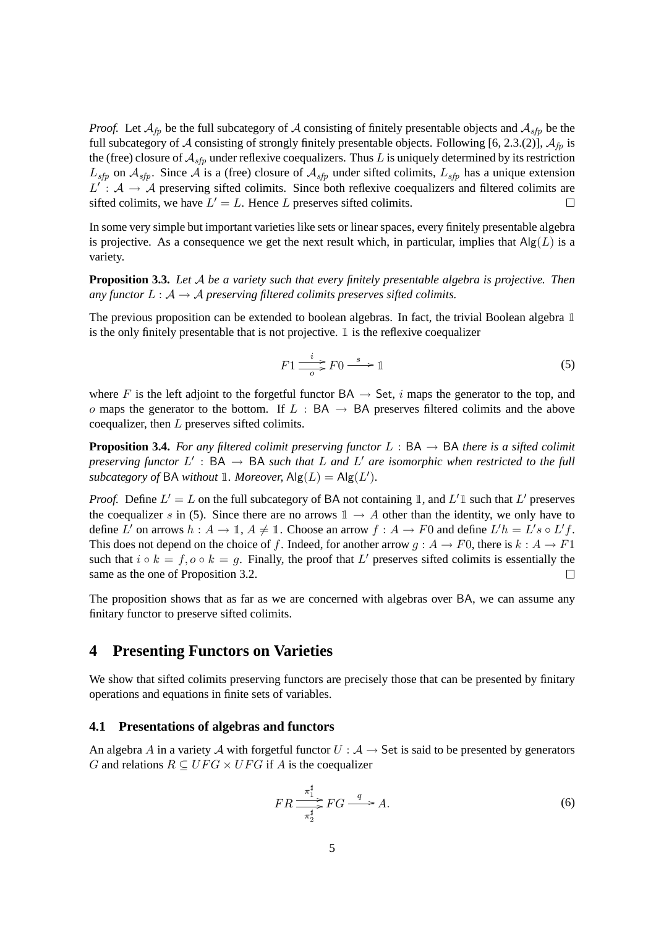*Proof.* Let  $A_{fp}$  be the full subcategory of A consisting of finitely presentable objects and  $A_{sfp}$  be the full subcategory of A consisting of strongly finitely presentable objects. Following [6, 2.3.(2)],  $A_{fp}$  is the (free) closure of  $A_{sfp}$  under reflexive coequalizers. Thus L is uniquely determined by its restriction  $L_{sfp}$  on  $A_{sfp}$ . Since A is a (free) closure of  $A_{sfp}$  under sifted colimits,  $L_{sfp}$  has a unique extension  $L' : A \rightarrow A$  preserving sifted colimits. Since both reflexive coequalizers and filtered colimits are sifted colimits, we have  $L' = L$ . Hence L preserves sifted colimits.  $\Box$ 

In some very simple but important varieties like sets or linear spaces, every finitely presentable algebra is projective. As a consequence we get the next result which, in particular, implies that  $\text{Alg}(L)$  is a variety.

**Proposition 3.3.** *Let* A *be a variety such that every finitely presentable algebra is projective. Then any functor*  $L : A \rightarrow A$  *preserving filtered colimits preserves sifted colimits.* 

The previous proposition can be extended to boolean algebras. In fact, the trivial Boolean algebra 1 is the only finitely presentable that is not projective.  $\mathbb{1}$  is the reflexive coequalizer

$$
F1 \xrightarrow{o} F0 \xrightarrow{s} 1
$$
 (5)

where F is the left adjoint to the forgetful functor  $BA \rightarrow Set$ , i maps the generator to the top, and o maps the generator to the bottom. If  $L : BA \rightarrow BA$  preserves filtered colimits and the above coequalizer, then L preserves sifted colimits.

**Proposition 3.4.** For any filtered colimit preserving functor  $L : BA \rightarrow BA$  there is a sifted colimit *preserving functor*  $L'$  :  $BA \rightarrow BA$  *such that*  $L$  *and*  $L'$  *are isomorphic when restricted to the full subcategory of* BA *without* 1*. Moreover*,  $\text{Alg}(L) = \text{Alg}(L').$ 

*Proof.* Define  $L' = L$  on the full subcategory of BA not containing 1, and  $L'$ 1 such that  $L'$  preserves the coequalizer s in (5). Since there are no arrows  $\mathbb{1} \to A$  other than the identity, we only have to define L' on arrows  $h: A \to \mathbb{I}$ ,  $A \neq \mathbb{I}$ . Choose an arrow  $f: A \to F0$  and define  $L'h = L's \circ L'f$ . This does not depend on the choice of f. Indeed, for another arrow  $g : A \to F0$ , there is  $k : A \to F1$ such that  $i \circ k = f, o \circ k = g$ . Finally, the proof that L' preserves sifted colimits is essentially the same as the one of Proposition 3.2.  $\Box$ 

The proposition shows that as far as we are concerned with algebras over BA, we can assume any finitary functor to preserve sifted colimits.

# **4 Presenting Functors on Varieties**

We show that sifted colimits preserving functors are precisely those that can be presented by finitary operations and equations in finite sets of variables.

#### **4.1 Presentations of algebras and functors**

An algebra A in a variety A with forgetful functor  $U : A \rightarrow$  Set is said to be presented by generators G and relations  $R \subseteq UFG \times UFG$  if A is the coequalizer

$$
FR \frac{\pi_1^{\sharp}}{\pi_2^{\sharp}} FG \xrightarrow{q} A. \tag{6}
$$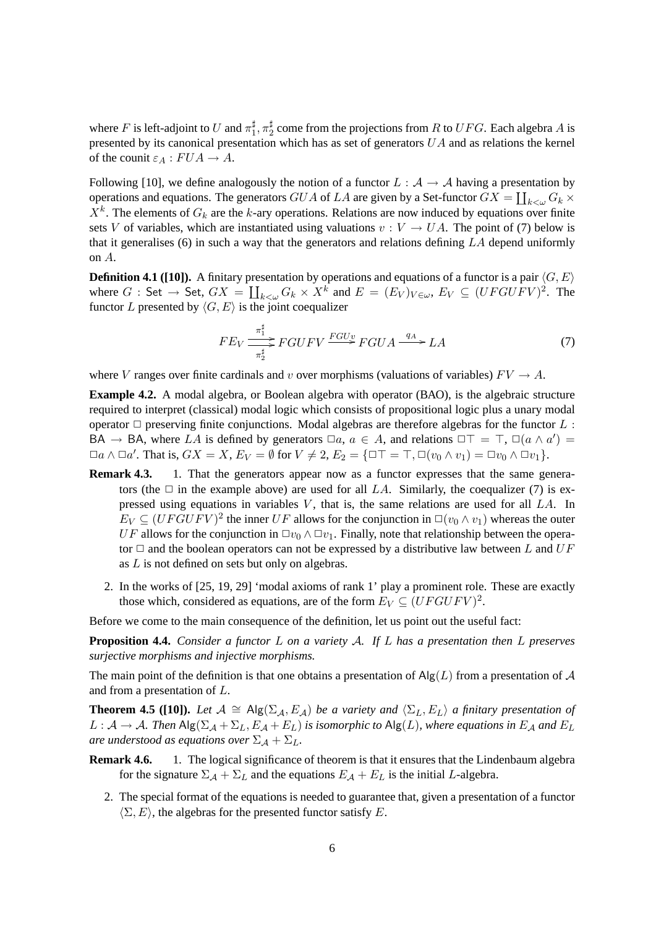where F is left-adjoint to U and  $\pi_1^{\sharp}$  $_{1}^{\sharp},\pi_{2}^{\sharp}$  $\frac{1}{2}$  come from the projections from R to  $UFG$ . Each algebra A is presented by its canonical presentation which has as set of generators  $UA$  and as relations the kernel of the counit  $\varepsilon_A : FUA \to A$ .

Following [10], we define analogously the notion of a functor  $L : A \rightarrow A$  having a presentation by operations and equations. The generators  $GUA$  of  $LA$  are given by a Set-functor  $GX = \coprod_{k < \omega} G_k \times G_k$  $X^k$ . The elements of  $G_k$  are the k-ary operations. Relations are now induced by equations over finite sets V of variables, which are instantiated using valuations  $v : V \to UA$ . The point of (7) below is that it generalises (6) in such a way that the generators and relations defining  $LA$  depend uniformly on A.

**Definition 4.1 ([10]).** A finitary presentation by operations and equations of a functor is a pair  $\langle G, E \rangle$ where  $G : \mathsf{Set} \to \mathsf{Set}$ ,  $GX = \coprod_{k < \omega} G_k \times X^k$  and  $E = (E_V)_{V \in \omega}$ ,  $E_V \subseteq (UFGUFV)^2$ . The functor L presented by  $\langle G, E \rangle$  is the joint coequalizer

$$
FE_V \xrightarrow{\pi_1^{\sharp}} FGUFV \xrightarrow{FGUv} FGUA \xrightarrow{q_A} LA
$$
 (7)

where V ranges over finite cardinals and v over morphisms (valuations of variables)  $FV \to A$ .

**Example 4.2.** A modal algebra, or Boolean algebra with operator (BAO), is the algebraic structure required to interpret (classical) modal logic which consists of propositional logic plus a unary modal operator  $\Box$  preserving finite conjunctions. Modal algebras are therefore algebras for the functor  $L$ : BA  $\rightarrow$  BA, where LA is defined by generators  $\Box a, a \in A$ , and relations  $\Box \top = \top$ ,  $\Box(a \land a') =$  $\Box a \wedge \Box a'$ . That is,  $GX = X$ ,  $E_V = \emptyset$  for  $V \neq 2$ ,  $E_2 = \{\Box \top = \top, \Box(v_0 \wedge v_1) = \Box v_0 \wedge \Box v_1\}.$ 

- **Remark 4.3.** 1. That the generators appear now as a functor expresses that the same generators (the  $\Box$  in the example above) are used for all LA. Similarly, the coequalizer (7) is expressed using equations in variables  $V$ , that is, the same relations are used for all  $LA$ . In  $E_V \subseteq (UFGUFV)^2$  the inner UF allows for the conjunction in  $\square(v_0 \wedge v_1)$  whereas the outer UF allows for the conjunction in  $\Box v_0 \wedge \Box v_1$ . Finally, note that relationship between the operator  $\Box$  and the boolean operators can not be expressed by a distributive law between L and UF as L is not defined on sets but only on algebras.
	- 2. In the works of [25, 19, 29] 'modal axioms of rank 1' play a prominent role. These are exactly those which, considered as equations, are of the form  $E_V \subseteq (UFGUFV)^2$ .

Before we come to the main consequence of the definition, let us point out the useful fact:

**Proposition 4.4.** *Consider a functor* L *on a variety* A*. If* L *has a presentation then* L *preserves surjective morphisms and injective morphisms.*

The main point of the definition is that one obtains a presentation of  $\text{Alg}(L)$  from a presentation of A and from a presentation of L.

**Theorem 4.5 ([10]).** *Let*  $A \cong Alg(\Sigma_A, E_A)$  *be a variety and*  $\langle \Sigma_L, E_L \rangle$  *a finitary presentation of*  $L: \mathcal{A} \to \mathcal{A}$ . Then  $\text{Alg}(\Sigma_{\mathcal{A}} + \Sigma_L, E_{\mathcal{A}} + E_L)$  is isomorphic to  $\text{Alg}(L)$ , where equations in  $E_{\mathcal{A}}$  and  $E_L$ *are understood as equations over*  $\Sigma_A + \Sigma_L$ *.* 

- **Remark 4.6.** 1. The logical significance of theorem is that it ensures that the Lindenbaum algebra for the signature  $\Sigma_A + \Sigma_L$  and the equations  $E_A + E_L$  is the initial L-algebra.
	- 2. The special format of the equations is needed to guarantee that, given a presentation of a functor  $\langle \Sigma, E \rangle$ , the algebras for the presented functor satisfy E.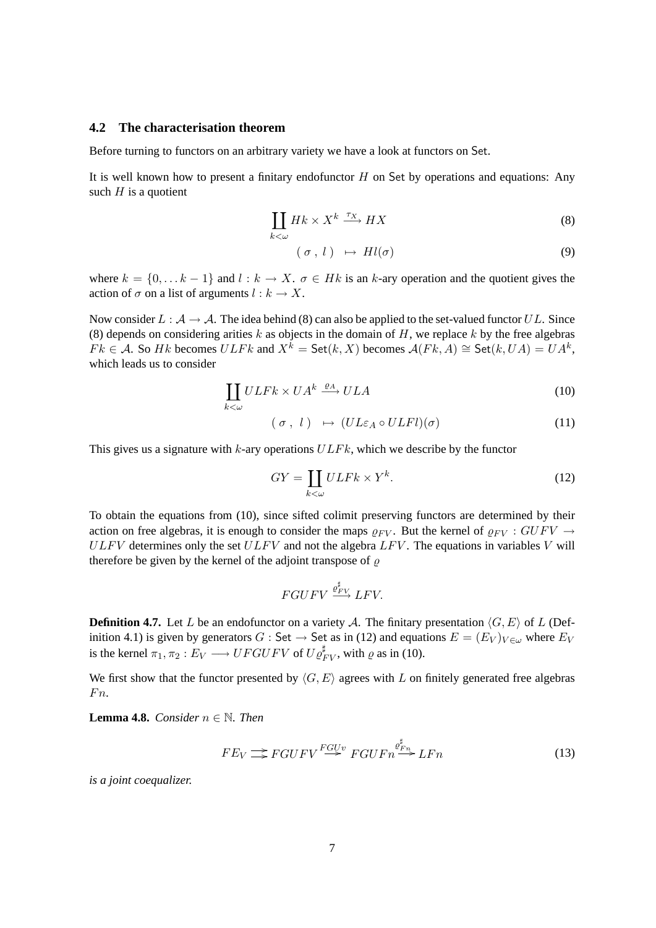#### **4.2 The characterisation theorem**

Before turning to functors on an arbitrary variety we have a look at functors on Set.

It is well known how to present a finitary endofunctor  $H$  on Set by operations and equations: Any such  $H$  is a quotient

$$
\coprod_{k<\omega} Hk \times X^k \xrightarrow{\tau_X} HX \tag{8}
$$

$$
(\sigma, l) \mapsto Hl(\sigma) \tag{9}
$$

where  $k = \{0, \ldots k-1\}$  and  $l : k \to X$ .  $\sigma \in Hk$  is an k-ary operation and the quotient gives the action of  $\sigma$  on a list of arguments  $l : k \to X$ .

Now consider  $L : A \rightarrow A$ . The idea behind (8) can also be applied to the set-valued functor UL. Since (8) depends on considering arities k as objects in the domain of  $H$ , we replace k by the free algebras  $Fk \in \mathcal{A}$ . So Hk becomes  $ULFk$  and  $X^k = \mathsf{Set}(k, X)$  becomes  $\mathcal{A}(Fk, A) \cong \mathsf{Set}(k, UA) = UA^k$ , which leads us to consider

$$
\coprod_{k<\omega} ULFk\times UA^k \xrightarrow{\varrho_A} ULA
$$
\n(10)

$$
(\sigma, l) \mapsto (UL\varepsilon_A \circ ULFl)(\sigma) \tag{11}
$$

This gives us a signature with  $k$ -ary operations  $ULFk$ , which we describe by the functor

$$
GY = \coprod_{k < \omega} ULFk \times Y^k. \tag{12}
$$

To obtain the equations from (10), since sifted colimit preserving functors are determined by their action on free algebras, it is enough to consider the maps  $\rho_{FV}$ . But the kernel of  $\rho_{FV}$  :  $GUFV \rightarrow$  $ULFV$  determines only the set  $ULFV$  and not the algebra  $LFV$ . The equations in variables V will therefore be given by the kernel of the adjoint transpose of  $\rho$ 

$$
FGUFV \xrightarrow{\varrho_{FV}^{\sharp}} LFV.
$$

**Definition 4.7.** Let L be an endofunctor on a variety A. The finitary presentation  $\langle G, E \rangle$  of L (Definition 4.1) is given by generators  $G :$  Set  $\to$  Set as in (12) and equations  $E = (E_V)_{V \in \omega}$  where  $E_V$ is the kernel  $\pi_1, \pi_2 : E_V \longrightarrow UFGUFV$  of  $U\varrho_{FV}^{\sharp}$ , with  $\varrho$  as in (10).

We first show that the functor presented by  $\langle G, E \rangle$  agrees with L on finitely generated free algebras  $Fn.$ 

**Lemma 4.8.** *Consider*  $n \in \mathbb{N}$ *. Then* 

$$
FE_V \Longrightarrow FGUFV \stackrel{FGUv}{\Longrightarrow} FGUFn \stackrel{\varrho_{Fn}^{\sharp}}{\Longrightarrow} LFn \tag{13}
$$

*is a joint coequalizer.*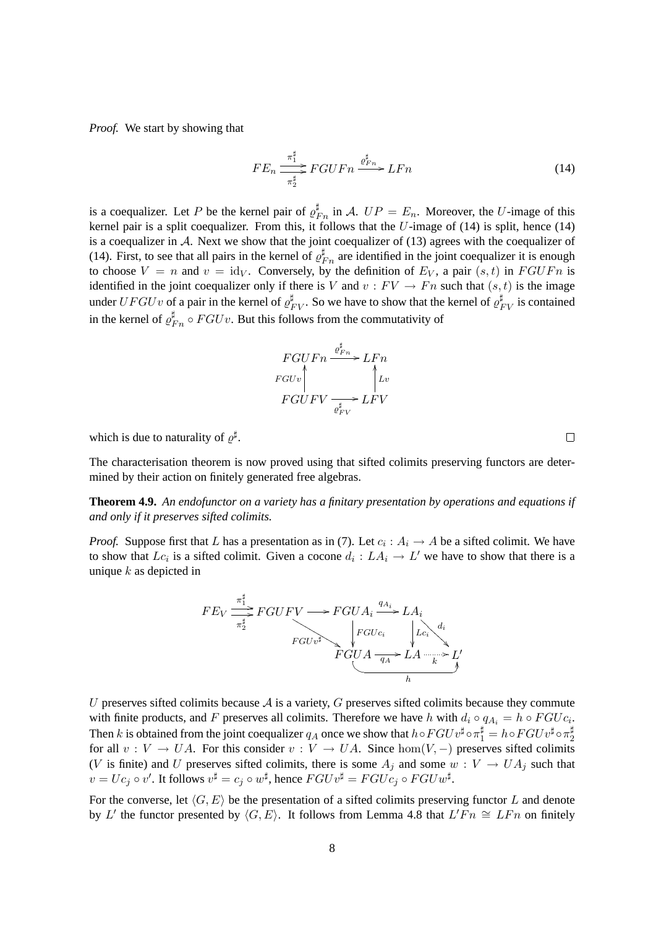*Proof.* We start by showing that

$$
FE_n \xrightarrow[\pi_2^{\sharp}]{\pi_1^{\sharp}} FGUFn \xrightarrow{\varrho_{Fn}^{\sharp}} LFn \tag{14}
$$

is a coequalizer. Let P be the kernel pair of  $\varrho_{Fn}^{\sharp}$  in A.  $UP = E_n$ . Moreover, the U-image of this kernel pair is a split coequalizer. From this, it follows that the  $U$ -image of (14) is split, hence (14) is a coequalizer in A. Next we show that the joint coequalizer of (13) agrees with the coequalizer of (14). First, to see that all pairs in the kernel of  $\varrho_{Fn}^{\sharp}$  are identified in the joint coequalizer it is enough to choose  $V = n$  and  $v = id_V$ . Conversely, by the definition of  $E_V$ , a pair  $(s, t)$  in  $FGUFn$  is identified in the joint coequalizer only if there is V and  $v : FV \to Fn$  such that  $(s,t)$  is the image under  $UFGUv$  of a pair in the kernel of  $\varrho_{FV}^{\sharp}$ . So we have to show that the kernel of  $\varrho_{FV}^{\sharp}$  is contained in the kernel of  $\varrho_{Fn}^{\sharp} \circ FGUv$ . But this follows from the commutativity of

$$
FGUFn \xrightarrow{\varrho_{Fn}^{\sharp}} LFn
$$
  

$$
FGUFV \xrightarrow{\varrho_{FV}^{\sharp}} LFV
$$
  

$$
FGUFV \xrightarrow{\varrho_{FV}^{\sharp}} LFV
$$

which is due to naturality of  $\varrho^{\sharp}$ .

The characterisation theorem is now proved using that sifted colimits preserving functors are determined by their action on finitely generated free algebras.

**Theorem 4.9.** *An endofunctor on a variety has a finitary presentation by operations and equations if and only if it preserves sifted colimits.*

*Proof.* Suppose first that L has a presentation as in (7). Let  $c_i : A_i \to A$  be a sifted colimit. We have to show that  $Lc_i$  is a sifted colimit. Given a cocone  $d_i: LA_i \to L'$  we have to show that there is a unique  $k$  as depicted in

$$
FE_V \xrightarrow{\pi_2^{\sharp}} FGUFV \longrightarrow FGUA_i \xrightarrow{q_{A_i}} LA_i
$$
  
\n
$$
FGUv^{\sharp} \longrightarrow FGUA_i \xrightarrow{q_{A_i}} LA_i
$$
  
\n
$$
FGUA \xrightarrow{q_A} LA \xrightarrow{k} L
$$
  
\n
$$
h
$$

 $\overline{\phantom{a}}$ 

U preserves sifted colimits because  $A$  is a variety,  $G$  preserves sifted colimits because they commute with finite products, and F preserves all colimits. Therefore we have h with  $d_i \circ q_{A_i} = h \circ FGU_{i}$ . Then k is obtained from the joint coequalizer  $q_A$  once we show that  $h \circ FGUv^{\sharp} \circ \pi_1^{\sharp} = h \circ FGUv^{\sharp} \circ \pi_2^{\sharp}$ 2 for all  $v: V \to UA$ . For this consider  $v: V \to UA$ . Since  $hom(V, -)$  preserves sifted colimits (V is finite) and U preserves sifted colimits, there is some  $A_j$  and some  $w: V \to UA_j$  such that  $v = Uc_j \circ v'$ . It follows  $v^{\sharp} = c_j \circ w^{\sharp}$ , hence  $FGUv^{\sharp} = FGUc_j \circ FGUw^{\sharp}$ .

For the converse, let  $\langle G, E \rangle$  be the presentation of a sifted colimits preserving functor L and denote by L' the functor presented by  $\langle G, E \rangle$ . It follows from Lemma 4.8 that  $L'Fn \cong LFn$  on finitely

 $\Box$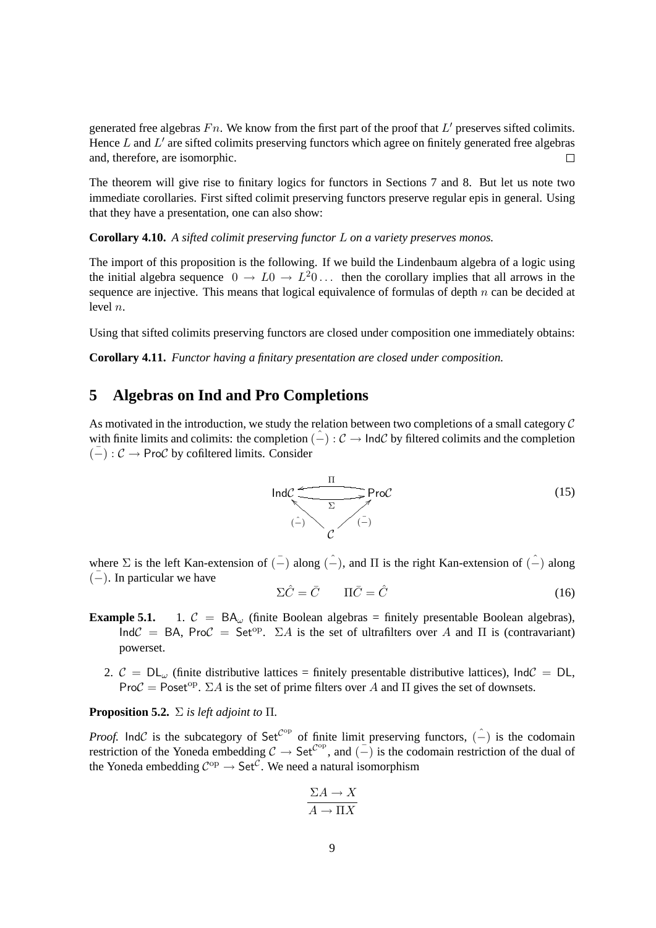generated free algebras  $Fn$ . We know from the first part of the proof that  $L'$  preserves sifted colimits. Hence  $L$  and  $L'$  are sifted colimits preserving functors which agree on finitely generated free algebras and, therefore, are isomorphic.  $\Box$ 

The theorem will give rise to finitary logics for functors in Sections 7 and 8. But let us note two immediate corollaries. First sifted colimit preserving functors preserve regular epis in general. Using that they have a presentation, one can also show:

**Corollary 4.10.** *A sifted colimit preserving functor* L *on a variety preserves monos.*

The import of this proposition is the following. If we build the Lindenbaum algebra of a logic using the initial algebra sequence  $0 \to L_0 \to L^2_0 \dots$  then the corollary implies that all arrows in the sequence are injective. This means that logical equivalence of formulas of depth  $n$  can be decided at level n.

Using that sifted colimits preserving functors are closed under composition one immediately obtains:

**Corollary 4.11.** *Functor having a finitary presentation are closed under composition.*

#### **5 Algebras on Ind and Pro Completions**

As motivated in the introduction, we study the relation between two completions of a small category  $\mathcal C$ with finite limits and colimits: the completion  $(-): \mathcal{C} \to \text{Ind}\mathcal{C}$  by filtered colimits and the completion  $(-): \mathcal{C} \rightarrow \mathsf{ProC}$  by cofiltered limits. Consider



where  $\Sigma$  is the left Kan-extension of  $(\bar{-})$  along  $(\hat{-})$ , and  $\Pi$  is the right Kan-extension of  $(\hat{-})$  along  $(-)$ . In particular we have

$$
\Sigma \hat{C} = \bar{C} \qquad \Pi \bar{C} = \hat{C} \tag{16}
$$

- **Example 5.1.** 1.  $C = BA_{\omega}$  (finite Boolean algebras = finitely presentable Boolean algebras), Ind $\mathcal{C}$  = BA, Pro $\mathcal{C}$  = Set<sup>op</sup>.  $\Sigma A$  is the set of ultrafilters over A and  $\Pi$  is (contravariant) powerset.
	- 2.  $C = DL_{\omega}$  (finite distributive lattices = finitely presentable distributive lattices),  $IndC = DL$ , Pro $C = \text{Poset}^{\text{op}}$ .  $\Sigma A$  is the set of prime filters over A and  $\Pi$  gives the set of downsets.

### **Proposition 5.2.** Σ *is left adjoint to* Π*.*

*Proof.* IndC is the subcategory of Set<sup>Cop</sup> of finite limit preserving functors,  $(\hat{-})$  is the codomain restriction of the Yoneda embedding  $C \to$  Set<sup> $C^{\rm op}$ </sup>, and  $\overline{(-)}$  is the codomain restriction of the dual of the Yoneda embedding  $C^{op} \to \text{Set}^{\mathcal{C}}$ . We need a natural isomorphism

$$
\frac{\Sigma A \to X}{A \to \Pi X}
$$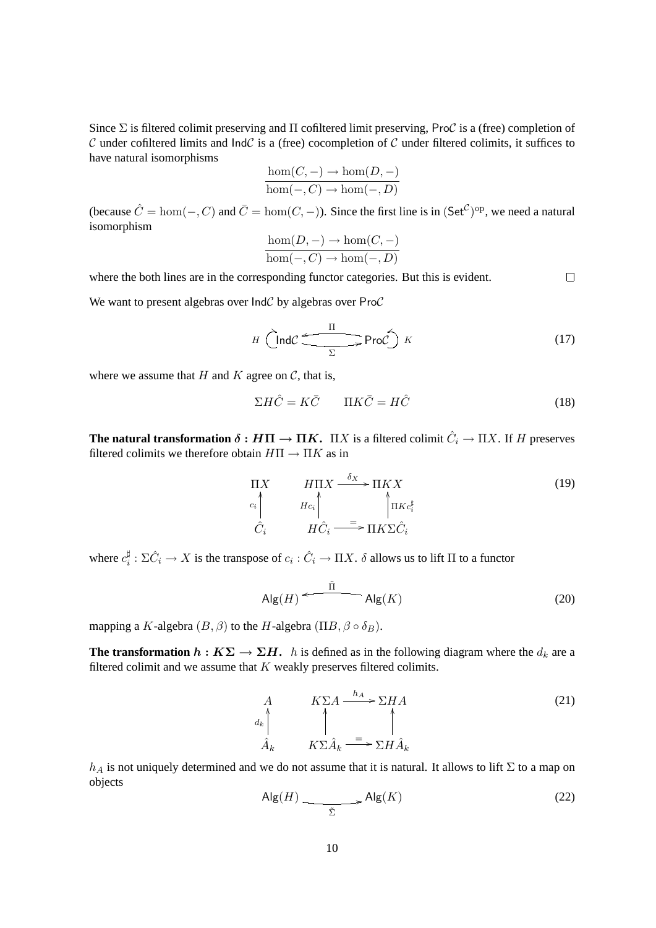Since  $\Sigma$  is filtered colimit preserving and  $\Pi$  cofiltered limit preserving, ProC is a (free) completion of  $C$  under cofiltered limits and  $IndC$  is a (free) cocompletion of  $C$  under filtered colimits, it suffices to have natural isomorphisms

$$
\frac{\hom(C, -) \to \hom(D, -)}{\hom(-, C) \to \hom(-, D)}
$$

(because  $\hat{C} = \text{hom}(-, C)$  and  $\bar{C} = \text{hom}(C, -)$ ). Since the first line is in  $(\mathsf{Set}^{\mathcal{C}})^{op}$ , we need a natural isomorphism

$$
\frac{\hom(D,-) \to \hom(C,-)}{\hom(-,C) \to \hom(-,D)}
$$

where the both lines are in the corresponding functor categories. But this is evident.

We want to present algebras over  $IndC$  by algebras over ProC

$$
H \left(\text{Ind}\mathcal{C} \xrightarrow{\Pi} \text{Pro}\mathcal{C}\right) K \tag{17}
$$

 $\Box$ 

where we assume that H and K agree on  $\mathcal{C}$ , that is,

$$
\Sigma H \hat{C} = K \bar{C} \qquad \Pi K \bar{C} = H \hat{C} \tag{18}
$$

**The natural transformation**  $\delta : H\Pi \to \Pi K$ **.**  $\Pi X$  is a filtered colimit  $\hat{C}_i \to \Pi X$ . If H preserves filtered colimits we therefore obtain  $H\Pi \to \Pi K$  as in

$$
\Pi X \qquad H\Pi X \longrightarrow \Pi K X
$$
\n
$$
c_i \qquad Hc_i \qquad \qquad \uparrow \qquad \uparrow \qquad \uparrow \qquad \uparrow \qquad \uparrow \qquad \uparrow \qquad \uparrow \qquad \uparrow \qquad \uparrow \qquad \uparrow \qquad \uparrow \qquad \uparrow \qquad \uparrow \qquad \uparrow \qquad \uparrow \qquad \uparrow \qquad \uparrow \qquad \uparrow \qquad \uparrow \qquad \uparrow \qquad \uparrow \qquad \uparrow \qquad \uparrow \qquad \uparrow \qquad \uparrow \qquad \uparrow \qquad \uparrow \qquad \uparrow \qquad \uparrow \qquad \uparrow \qquad \uparrow \qquad \uparrow \qquad \uparrow \qquad \uparrow \qquad \uparrow \qquad \uparrow \qquad \uparrow \qquad \uparrow \qquad \uparrow \qquad \uparrow \qquad \uparrow \qquad \uparrow \qquad \uparrow \qquad \uparrow \qquad \uparrow \qquad \uparrow \qquad \uparrow \qquad \uparrow \qquad \uparrow \qquad \uparrow \qquad \uparrow \qquad \uparrow \qquad \uparrow \qquad \uparrow \qquad \uparrow \qquad \uparrow \qquad \uparrow \qquad \uparrow \qquad \uparrow \qquad \uparrow \qquad \uparrow \qquad \uparrow \qquad \uparrow \qquad \uparrow \qquad \uparrow \qquad \uparrow \qquad \uparrow \qquad \uparrow \qquad \uparrow \qquad \uparrow \qquad \uparrow \qquad \uparrow \qquad \uparrow \qquad \uparrow \qquad \uparrow \qquad \uparrow \qquad \uparrow \qquad \uparrow \qquad \uparrow \qquad \uparrow \qquad \uparrow \qquad \uparrow \qquad \uparrow \qquad \uparrow \qquad \uparrow \qquad \uparrow \qquad \uparrow \qquad \uparrow \qquad \uparrow \qquad \uparrow \qquad \uparrow \qquad \uparrow \qquad \uparrow \qquad \uparrow \qquad \uparrow \qquad \uparrow \qquad \uparrow \qquad \uparrow \qquad \uparrow \qquad \uparrow \qquad \uparrow \qquad \uparrow \qquad \uparrow \qquad \uparrow \qquad \uparrow \qquad \uparrow \qquad \uparrow \qquad \uparrow \qquad \uparrow \qquad \uparrow \qquad \uparrow \qquad \uparrow \qquad \uparrow \qquad \uparrow \qquad \uparrow \qquad \uparrow \qquad \uparrow \qquad \uparrow \qquad \uparrow \qquad \uparrow \qquad
$$

where  $c_i^{\sharp}$  $\frac{\sharp}{i} : \Sigma \hat{C}_i \to X$  is the transpose of  $c_i : \hat{C}_i \to \Pi X$ .  $\delta$  allows us to lift  $\Pi$  to a functor

$$
\mathsf{Alg}(H) \xleftarrow{\tilde{\Pi}} \mathsf{Alg}(K) \tag{20}
$$

mapping a K-algebra  $(B, \beta)$  to the H-algebra  $(\Pi B, \beta \circ \delta_B)$ .

**The transformation**  $h: K\Sigma \to \Sigma H$ . *h* is defined as in the following diagram where the  $d_k$  are a filtered colimit and we assume that  $K$  weakly preserves filtered colimits.

$$
A\nA\n\begin{array}{ccc}\nA & K\Sigma A & \xrightarrow{h_A} \Sigma H A \\
\uparrow & \uparrow & \uparrow \\
\hat{A}_k & K\Sigma \hat{A}_k & \xrightarrow{\equiv} \Sigma H \hat{A}_k\n\end{array} (21)
$$

 $h_A$  is not uniquely determined and we do not assume that it is natural. It allows to lift  $\Sigma$  to a map on objects

$$
\mathsf{Alg}(H) \xrightarrow{\tilde{\Sigma}} \mathsf{Alg}(K) \tag{22}
$$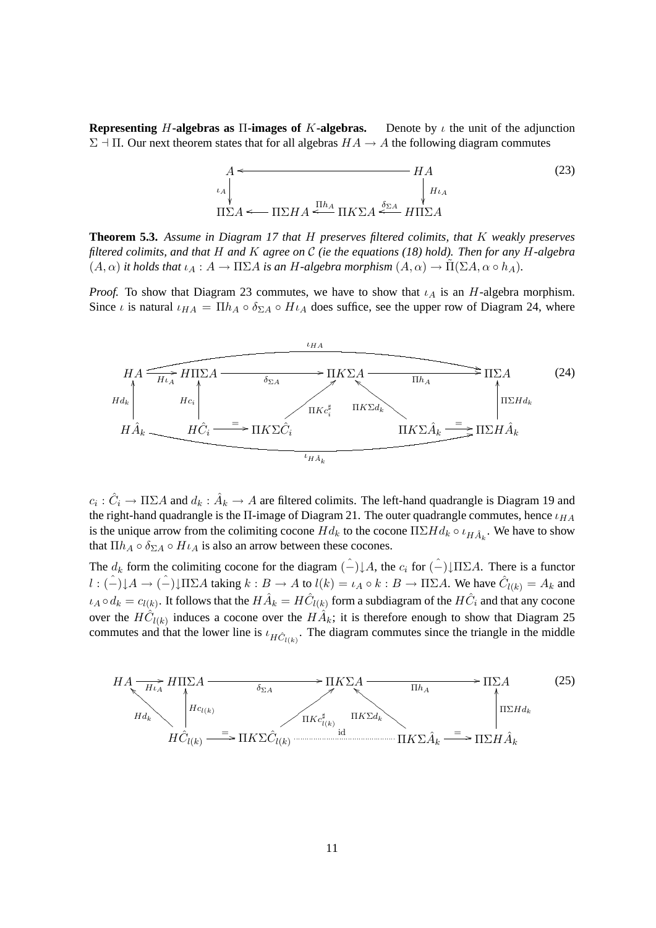**Representing** H-algebras as  $\Pi$ -images of K-algebras. Denote by  $\iota$  the unit of the adjunction  $\Sigma$  -  $\Pi$ . Our next theorem states that for all algebras  $HA \rightarrow A$  the following diagram commutes

$$
A \leftarrow H A \tag{23}
$$
\n
$$
\downarrow_{\iota_A} \qquad H_{\iota_A} \qquad H_{\iota_A}
$$
\n
$$
\Pi \Sigma A \leftarrow \Pi \Sigma H A \stackrel{\Pi h_A}{\leftarrow} \Pi K \Sigma A \stackrel{\delta_{\Sigma A}}{\leftarrow} H \Pi \Sigma A \tag{23}
$$

**Theorem 5.3.** *Assume in Diagram 17 that* H *preserves filtered colimits, that* K *weakly preserves filtered colimits, and that* H *and* K *agree on* C *(ie the equations (18) hold). Then for any* H*-algebra*  $(A, \alpha)$  *it holds that*  $\iota_A : A \to \Pi \Sigma A$  *is an H-algebra morphism*  $(A, \alpha) \to \Pi(\Sigma A, \alpha \circ h_A)$ *.* 

*Proof.* To show that Diagram 23 commutes, we have to show that  $\iota_A$  is an H-algebra morphism. Since *ι* is natural  $\iota_{HA} = \Pi h_A \circ \delta_{\Sigma A} \circ H \iota_A$  does suffice, see the upper row of Diagram 24, where



 $c_i: \hat{C}_i \to \Pi \Sigma A$  and  $d_k: \hat{A}_k \to A$  are filtered colimits. The left-hand quadrangle is Diagram 19 and the right-hand quadrangle is the  $\Pi$ -image of Diagram 21. The outer quadrangle commutes, hence  $\iota_{HA}$ is the unique arrow from the colimiting cocone  $Hd_k$  to the cocone  $\Pi\Sigma Hd_k \circ \iota_{H\hat{A}_k}$ . We have to show that  $\Pi h_A \circ \delta_{\Sigma A} \circ H \iota_A$  is also an arrow between these cocones.

The  $d_k$  form the colimiting cocone for the diagram  $\hat{(-)}\downarrow A$ , the  $c_i$  for  $\hat{(-)}\downarrow \Pi\Sigma A$ . There is a functor  $l: (\hat{-}){\downarrow}A \to (\hat{-}){\downarrow} \Pi \Sigma A$  taking  $k: B \to A$  to  $l(k) = \iota_A \circ k: B \to \Pi \Sigma A$ . We have  $\hat{C}_{l(k)} = A_k$  and  $\iota_A \circ d_k = c_{l(k)}$ . It follows that the  $H\hat{A}_k = H\hat{C}_{l(k)}$  form a subdiagram of the  $H\hat{C}_i$  and that any cocone over the  $H\hat{C}_{l(k)}$  induces a cocone over the  $H\hat{A}_k$ ; it is therefore enough to show that Diagram 25 commutes and that the lower line is  $\iota_{H\hat{C}_{l(k)}}$ . The diagram commutes since the triangle in the middle

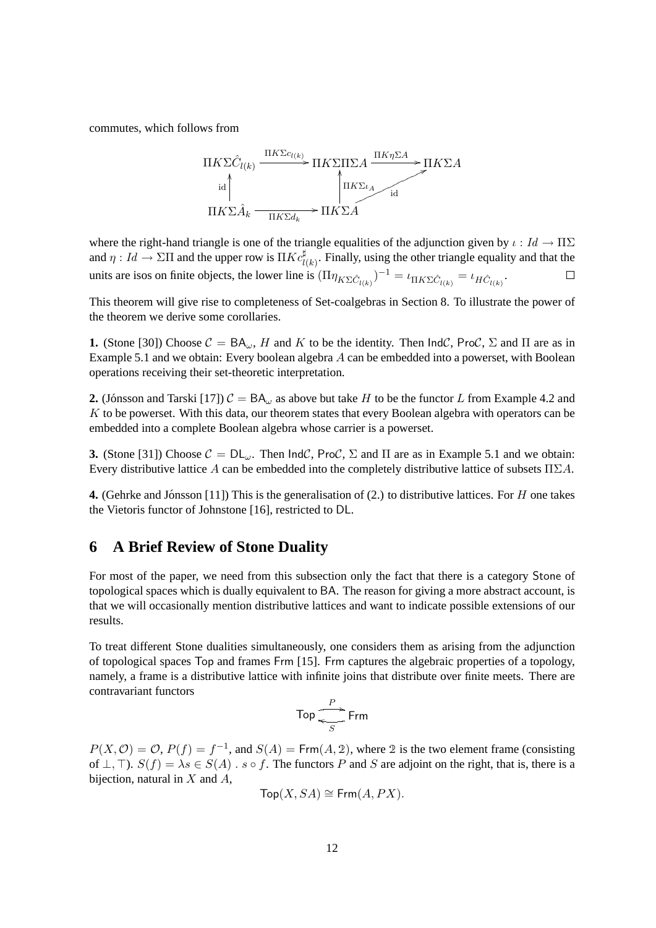commutes, which follows from



where the right-hand triangle is one of the triangle equalities of the adjunction given by  $\iota : Id \to \Pi \Sigma$ and  $\eta: Id \to \Sigma \Pi$  and the upper row is  $\Pi K c_{l(k)}^{\sharp}$ . Finally, using the other triangle equality and that the units are isos on finite objects, the lower line is  $(\Pi \eta_{K\Sigma \hat{C}_{l(k)}})^{-1} = \iota_{\Pi K\Sigma \hat{C}_{l(k)}} = \iota_{H \hat{C}_{l(k)}}$ .  $\Box$ 

This theorem will give rise to completeness of Set-coalgebras in Section 8. To illustrate the power of the theorem we derive some corollaries.

**1.** (Stone [30]) Choose  $C = BA_{\omega}$ , H and K to be the identity. Then  $IndC$ , ProC,  $\Sigma$  and  $\Pi$  are as in Example 5.1 and we obtain: Every boolean algebra A can be embedded into a powerset, with Boolean operations receiving their set-theoretic interpretation.

**2.** (Jónsson and Tarski [17])  $C = BA_{\omega}$  as above but take H to be the functor L from Example 4.2 and K to be powerset. With this data, our theorem states that every Boolean algebra with operators can be embedded into a complete Boolean algebra whose carrier is a powerset.

**3.** (Stone [31]) Choose  $C = DL_{\omega}$ . Then  $IndC$ , Pro $C$ ,  $\Sigma$  and  $\Pi$  are as in Example 5.1 and we obtain: Every distributive lattice A can be embedded into the completely distributive lattice of subsets  $\Pi \Sigma A$ .

**4.** (Gehrke and Jónsson [11]) This is the generalisation of  $(2.)$  to distributive lattices. For  $H$  one takes the Vietoris functor of Johnstone [16], restricted to DL.

### **6 A Brief Review of Stone Duality**

For most of the paper, we need from this subsection only the fact that there is a category Stone of topological spaces which is dually equivalent to BA. The reason for giving a more abstract account, is that we will occasionally mention distributive lattices and want to indicate possible extensions of our results.

To treat different Stone dualities simultaneously, one considers them as arising from the adjunction of topological spaces Top and frames Frm [15]. Frm captures the algebraic properties of a topology, namely, a frame is a distributive lattice with infinite joins that distribute over finite meets. There are contravariant functors

$$
\mathsf{Top} \xrightarrow{\mathit{P}} \mathsf{Frm}
$$

 $P(X, 0) = 0$ ,  $P(f) = f^{-1}$ , and  $S(A) = \text{Frm}(A, 2)$ , where 2 is the two element frame (consisting of  $\bot$ ,  $\top$ ).  $S(f) = \lambda s \in S(A)$ .  $s \circ f$ . The functors P and S are adjoint on the right, that is, there is a bijection, natural in  $X$  and  $A$ .

$$
\mathsf{Top}(X, SA) \cong \mathsf{Frm}(A, PX).
$$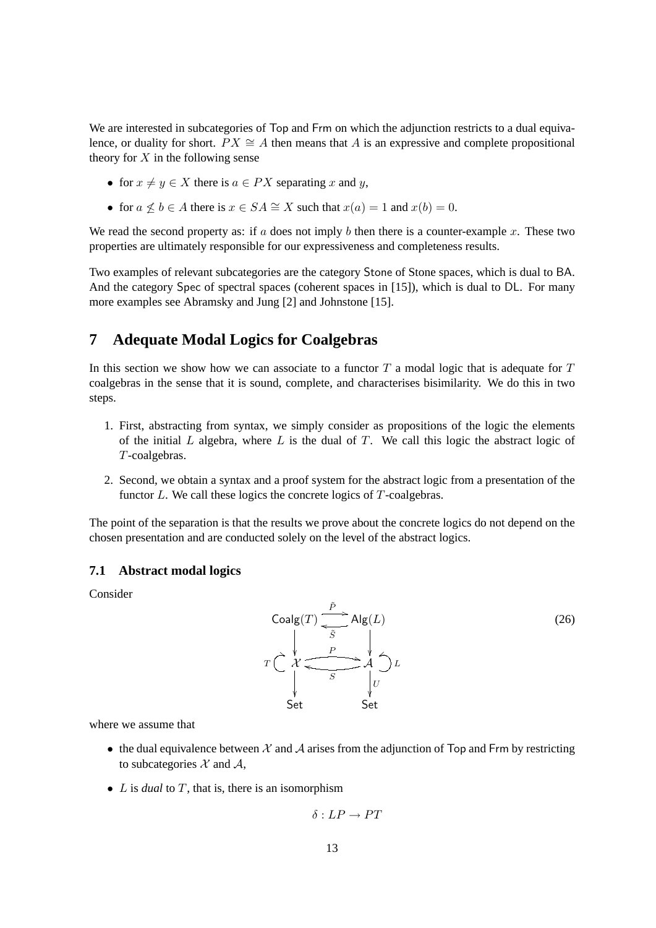We are interested in subcategories of Top and Frm on which the adjunction restricts to a dual equivalence, or duality for short.  $PX \cong A$  then means that A is an expressive and complete propositional theory for  $X$  in the following sense

- for  $x \neq y \in X$  there is  $a \in PX$  separating x and y,
- for  $a \not\leq b \in A$  there is  $x \in SA \cong X$  such that  $x(a) = 1$  and  $x(b) = 0$ .

We read the second property as: if  $a$  does not imply  $b$  then there is a counter-example  $x$ . These two properties are ultimately responsible for our expressiveness and completeness results.

Two examples of relevant subcategories are the category Stone of Stone spaces, which is dual to BA. And the category Spec of spectral spaces (coherent spaces in [15]), which is dual to DL. For many more examples see Abramsky and Jung [2] and Johnstone [15].

# **7 Adequate Modal Logics for Coalgebras**

In this section we show how we can associate to a functor  $T$  a modal logic that is adequate for  $T$ coalgebras in the sense that it is sound, complete, and characterises bisimilarity. We do this in two steps.

- 1. First, abstracting from syntax, we simply consider as propositions of the logic the elements of the initial  $L$  algebra, where  $L$  is the dual of  $T$ . We call this logic the abstract logic of T-coalgebras.
- 2. Second, we obtain a syntax and a proof system for the abstract logic from a presentation of the functor L. We call these logics the concrete logics of T-coalgebras.

The point of the separation is that the results we prove about the concrete logics do not depend on the chosen presentation and are conducted solely on the level of the abstract logics.

#### **7.1 Abstract modal logics**

Consider



where we assume that

- the dual equivalence between  $\mathcal X$  and  $\mathcal A$  arises from the adjunction of Top and Frm by restricting to subcategories  $X$  and  $A$ ,
- *L* is *dual* to *T*, that is, there is an isomorphism

$$
\delta: LP \to PT
$$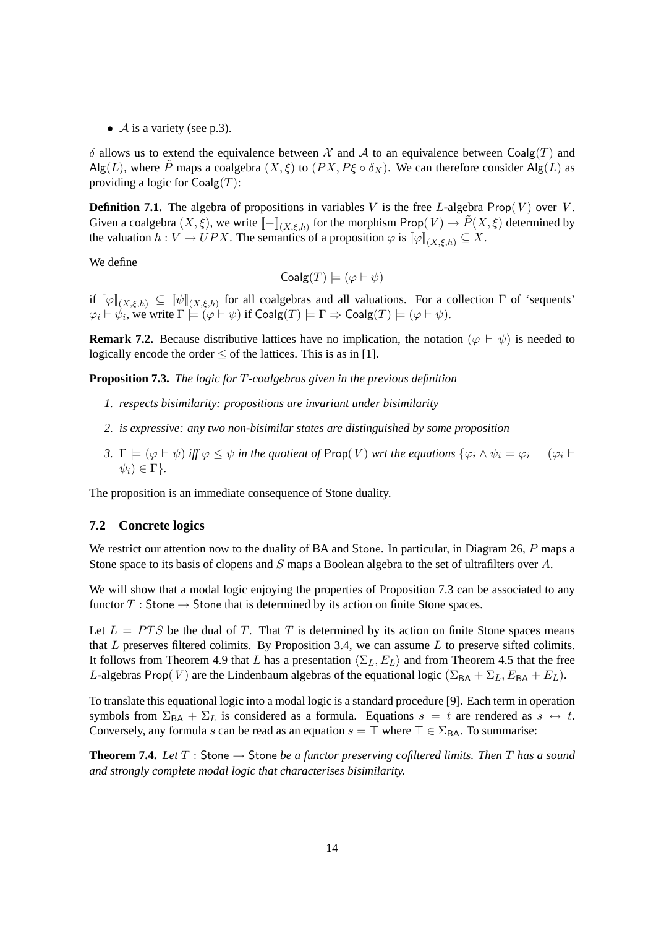•  $\mathcal A$  is a variety (see p.3).

 $\delta$  allows us to extend the equivalence between  $\mathcal X$  and  $\mathcal A$  to an equivalence between Coalg(T) and Alg(L), where  $\tilde{P}$  maps a coalgebra  $(X, \xi)$  to  $(PX, P\xi \circ \delta_X)$ . We can therefore consider Alg(L) as providing a logic for  $Coalg(T)$ :

**Definition 7.1.** The algebra of propositions in variables V is the free L-algebra Prop $(V)$  over V. Given a coalgebra  $(X, \xi)$ , we write  $[-\mathbb{I}_{(X, \xi, h)}$  for the morphism Prop $(V) \to \tilde{P}(X, \xi)$  determined by the valuation  $h: V \to UPX$ . The semantics of a proposition  $\varphi$  is  $[\varphi]_{(X,\xi,h)} \subseteq X$ .

We define

$$
Coalg(T) \models (\varphi \vdash \psi)
$$

if  $[\![\varphi]\!]_{(X,\xi,h)} \subseteq [\![\psi]\!]_{(X,\xi,h)}$  for all coalgebras and all valuations. For a collection  $\Gamma$  of 'sequents'  $\varphi_i \vdash \psi_i,$  we write  $\Gamma \models (\varphi \vdash \psi)$  if  $\mathsf{Coalg}(T) \models \Gamma \Rightarrow \mathsf{Coalg}(T) \models (\varphi \vdash \psi).$ 

**Remark 7.2.** Because distributive lattices have no implication, the notation  $(\varphi \vdash \psi)$  is needed to logically encode the order  $\leq$  of the lattices. This is as in [1].

**Proposition 7.3.** *The logic for* T*-coalgebras given in the previous definition*

- *1. respects bisimilarity: propositions are invariant under bisimilarity*
- *2. is expressive: any two non-bisimilar states are distinguished by some proposition*
- *3.*  $\Gamma \models (\varphi \vdash \psi)$  iff  $\varphi \leq \psi$  in the quotient of Prop(V) wrt the equations  $\{\varphi_i \wedge \psi_i = \varphi_i \mid (\varphi_i \vdash \psi_j)$  $\psi_i) \in \Gamma$ .

The proposition is an immediate consequence of Stone duality.

#### **7.2 Concrete logics**

We restrict our attention now to the duality of BA and Stone. In particular, in Diagram 26, P maps a Stone space to its basis of clopens and S maps a Boolean algebra to the set of ultrafilters over A.

We will show that a modal logic enjoying the properties of Proposition 7.3 can be associated to any functor  $T:$  Stone  $\rightarrow$  Stone that is determined by its action on finite Stone spaces.

Let  $L = PTS$  be the dual of T. That T is determined by its action on finite Stone spaces means that L preserves filtered colimits. By Proposition 3.4, we can assume  $L$  to preserve sifted colimits. It follows from Theorem 4.9 that L has a presentation  $\langle \Sigma_L, E_L \rangle$  and from Theorem 4.5 that the free L-algebras Prop(V) are the Lindenbaum algebras of the equational logic ( $\Sigma_{BA} + \Sigma_L$ ,  $E_{BA} + E_L$ ).

To translate this equational logic into a modal logic is a standard procedure [9]. Each term in operation symbols from  $\Sigma_{BA} + \Sigma_L$  is considered as a formula. Equations  $s = t$  are rendered as  $s \leftrightarrow t$ . Conversely, any formula s can be read as an equation  $s = \top$  where  $\top \in \Sigma_{BA}$ . To summarise:

**Theorem 7.4.** Let  $T :$  Stone  $\rightarrow$  Stone *be a functor preserving cofiltered limits. Then*  $T$  *has a sound and strongly complete modal logic that characterises bisimilarity.*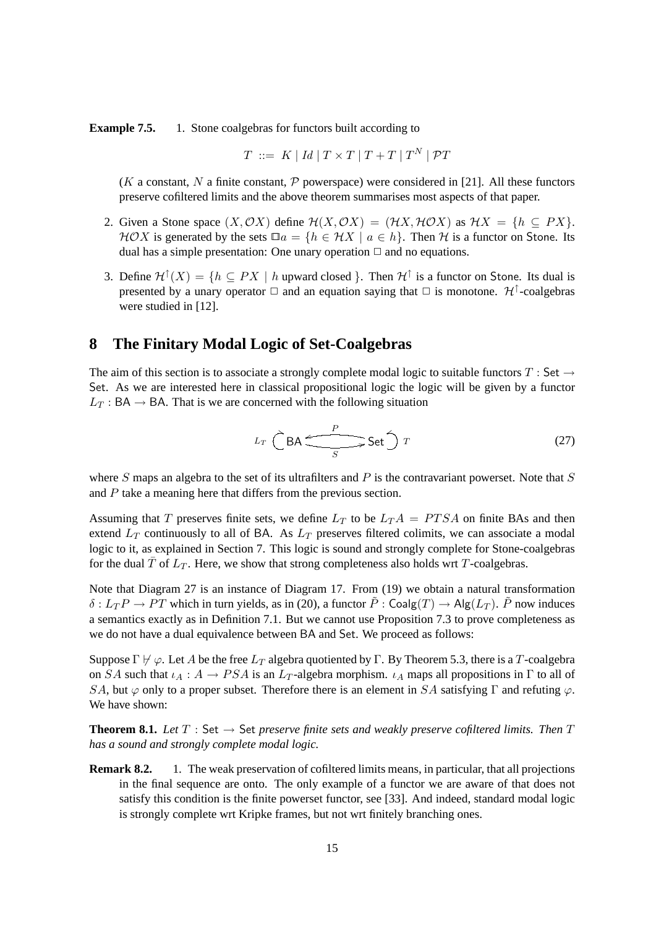**Example 7.5.** 1. Stone coalgebras for functors built according to

$$
T \ ::= \ K \ | \ Id \ | \ T \times T \ | \ T + T \ | \ T^N \ | \ \mathcal{P} T
$$

(K a constant, N a finite constant, P powerspace) were considered in [21]. All these functors preserve cofiltered limits and the above theorem summarises most aspects of that paper.

- 2. Given a Stone space  $(X, \mathcal{O}X)$  define  $\mathcal{H}(X, \mathcal{O}X) = (\mathcal{H}X, \mathcal{H}\mathcal{O}X)$  as  $\mathcal{H}X = \{h \subseteq PX\}$ .  $HOX$  is generated by the sets  $\Box a = \{h \in \mathcal{H}X \mid a \in h\}$ . Then H is a functor on Stone. Its dual has a simple presentation: One unary operation  $\Box$  and no equations.
- 3. Define  $\mathcal{H}^{\uparrow}(X) = \{h \subseteq PX \mid h \text{ upward closed }\}.$  Then  $\mathcal{H}^{\uparrow}$  is a functor on Stone. Its dual is presented by a unary operator  $\Box$  and an equation saying that  $\Box$  is monotone.  $\mathcal{H}^{\uparrow}$ -coalgebras were studied in [12].

### **8 The Finitary Modal Logic of Set-Coalgebras**

The aim of this section is to associate a strongly complete modal logic to suitable functors  $T :$  Set  $\rightarrow$ Set. As we are interested here in classical propositional logic the logic will be given by a functor  $L_T$ : BA  $\rightarrow$  BA. That is we are concerned with the following situation

$$
L_T \stackrel{\frown}{\bigcirc} \mathsf{BA} \stackrel{P}{\xrightarrow{\qquad}} \mathsf{Set} \stackrel{\frown}{\bigcirc} T \tag{27}
$$

where S maps an algebra to the set of its ultrafilters and P is the contravariant powerset. Note that S and  $P$  take a meaning here that differs from the previous section.

Assuming that T preserves finite sets, we define  $L_T$  to be  $L_T A = P T S A$  on finite BAs and then extend  $L_T$  continuously to all of BA. As  $L_T$  preserves filtered colimits, we can associate a modal logic to it, as explained in Section 7. This logic is sound and strongly complete for Stone-coalgebras for the dual  $\overline{T}$  of  $L_T$ . Here, we show that strong completeness also holds wrt T-coalgebras.

Note that Diagram 27 is an instance of Diagram 17. From (19) we obtain a natural transformation  $\delta: L_T P \to PT$  which in turn yields, as in (20), a functor  $\tilde{P}$  : Coalg(T)  $\to$  Alg( $L_T$ ).  $\tilde{P}$  now induces a semantics exactly as in Definition 7.1. But we cannot use Proposition 7.3 to prove completeness as we do not have a dual equivalence between BA and Set. We proceed as follows:

Suppose  $\Gamma \not\vdash \varphi$ . Let A be the free  $L_T$  algebra quotiented by Γ. By Theorem 5.3, there is a T-coalgebra on SA such that  $\iota_A : A \to PSA$  is an  $L_T$ -algebra morphism.  $\iota_A$  maps all propositions in  $\Gamma$  to all of SA, but  $\varphi$  only to a proper subset. Therefore there is an element in SA satisfying Γ and refuting  $\varphi$ . We have shown:

**Theorem 8.1.** Let  $T : Set \rightarrow Set$  *preserve finite sets and weakly preserve cofiltered limits. Then*  $T$ *has a sound and strongly complete modal logic.*

**Remark 8.2.** 1. The weak preservation of cofiltered limits means, in particular, that all projections in the final sequence are onto. The only example of a functor we are aware of that does not satisfy this condition is the finite powerset functor, see [33]. And indeed, standard modal logic is strongly complete wrt Kripke frames, but not wrt finitely branching ones.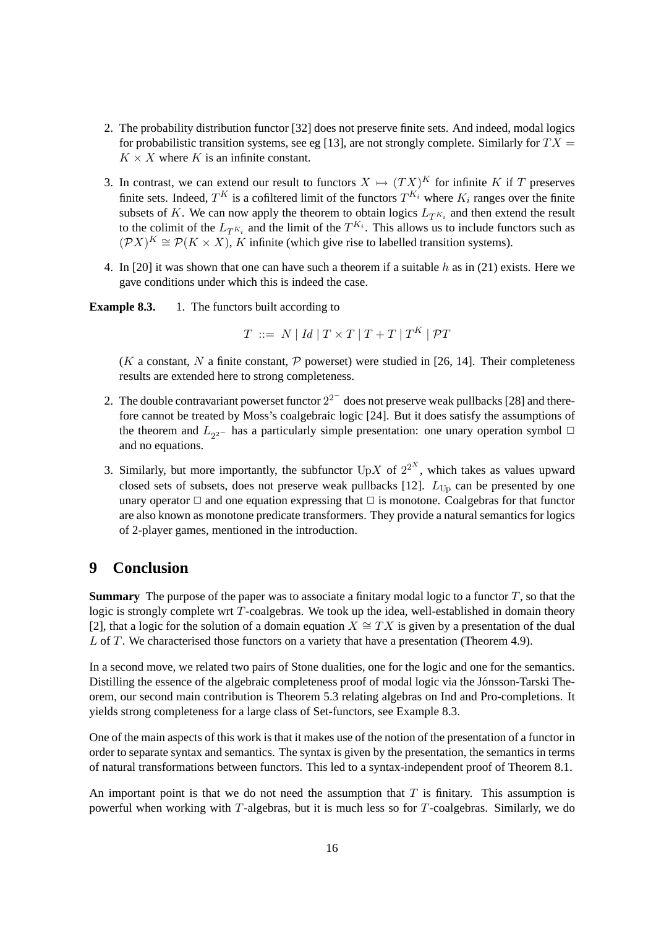- 2. The probability distribution functor [32] does not preserve finite sets. And indeed, modal logics for probabilistic transition systems, see eg [13], are not strongly complete. Similarly for  $TX =$  $K \times X$  where K is an infinite constant.
- 3. In contrast, we can extend our result to functors  $X \mapsto (TX)^K$  for infinite K if T preserves finite sets. Indeed,  $T^K$  is a cofiltered limit of the functors  $T^{K_i}$  where  $K_i$  ranges over the finite subsets of K. We can now apply the theorem to obtain logics  $L_{T^{K_i}}$  and then extend the result to the colimit of the  $L_{T^{K_i}}$  and the limit of the  $T^{K_i}$ . This allows us to include functors such as  $(\mathcal{P}X)^K \cong \mathcal{P}(K \times X)$ , K infinite (which give rise to labelled transition systems).
- 4. In [20] it was shown that one can have such a theorem if a suitable h as in (21) exists. Here we gave conditions under which this is indeed the case.

**Example 8.3.** 1. The functors built according to

$$
T \ ::= \ N \mid Id \mid T \times T \mid T + T \mid T^{K} \mid \mathcal{P}T
$$

(K a constant, N a finite constant, P powerset) were studied in [26, 14]. Their completeness results are extended here to strong completeness.

- 2. The double contravariant powerset functor  $2^{2-}$  does not preserve weak pullbacks [28] and therefore cannot be treated by Moss's coalgebraic logic [24]. But it does satisfy the assumptions of the theorem and  $L_{2^{2-}}$  has a particularly simple presentation: one unary operation symbol  $\Box$ and no equations.
- 3. Similarly, but more importantly, the subfunctor  $UpX$  of  $2^{2^X}$ , which takes as values upward closed sets of subsets, does not preserve weak pullbacks [12].  $L_{Up}$  can be presented by one unary operator  $\Box$  and one equation expressing that  $\Box$  is monotone. Coalgebras for that functor are also known as monotone predicate transformers. They provide a natural semantics for logics of 2-player games, mentioned in the introduction.

### **9 Conclusion**

**Summary** The purpose of the paper was to associate a finitary modal logic to a functor  $T$ , so that the logic is strongly complete wrt  $T$ -coalgebras. We took up the idea, well-established in domain theory [2], that a logic for the solution of a domain equation  $X \cong TX$  is given by a presentation of the dual L of T. We characterised those functors on a variety that have a presentation (Theorem 4.9).

In a second move, we related two pairs of Stone dualities, one for the logic and one for the semantics. Distilling the essence of the algebraic completeness proof of modal logic via the Jonsson-Tarski The- ´ orem, our second main contribution is Theorem 5.3 relating algebras on Ind and Pro-completions. It yields strong completeness for a large class of Set-functors, see Example 8.3.

One of the main aspects of this work is that it makes use of the notion of the presentation of a functor in order to separate syntax and semantics. The syntax is given by the presentation, the semantics in terms of natural transformations between functors. This led to a syntax-independent proof of Theorem 8.1.

An important point is that we do not need the assumption that  $T$  is finitary. This assumption is powerful when working with  $T$ -algebras, but it is much less so for  $T$ -coalgebras. Similarly, we do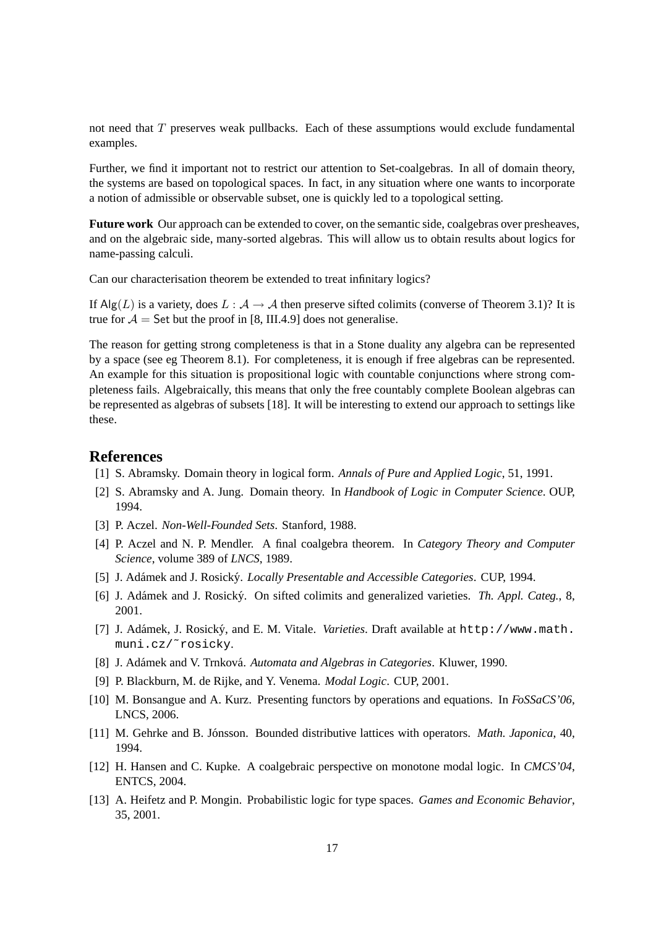not need that  $T$  preserves weak pullbacks. Each of these assumptions would exclude fundamental examples.

Further, we find it important not to restrict our attention to Set-coalgebras. In all of domain theory, the systems are based on topological spaces. In fact, in any situation where one wants to incorporate a notion of admissible or observable subset, one is quickly led to a topological setting.

**Future work** Our approach can be extended to cover, on the semantic side, coalgebras over presheaves, and on the algebraic side, many-sorted algebras. This will allow us to obtain results about logics for name-passing calculi.

Can our characterisation theorem be extended to treat infinitary logics?

If Alg(L) is a variety, does  $L : A \to A$  then preserve sifted colimits (converse of Theorem 3.1)? It is true for  $A =$  Set but the proof in [8, III.4.9] does not generalise.

The reason for getting strong completeness is that in a Stone duality any algebra can be represented by a space (see eg Theorem 8.1). For completeness, it is enough if free algebras can be represented. An example for this situation is propositional logic with countable conjunctions where strong completeness fails. Algebraically, this means that only the free countably complete Boolean algebras can be represented as algebras of subsets [18]. It will be interesting to extend our approach to settings like these.

#### **References**

- [1] S. Abramsky. Domain theory in logical form. *Annals of Pure and Applied Logic*, 51, 1991.
- [2] S. Abramsky and A. Jung. Domain theory. In *Handbook of Logic in Computer Science*. OUP, 1994.
- [3] P. Aczel. *Non-Well-Founded Sets*. Stanford, 1988.
- [4] P. Aczel and N. P. Mendler. A final coalgebra theorem. In *Category Theory and Computer Science*, volume 389 of *LNCS*, 1989.
- [5] J. Adámek and J. Rosický. *Locally Presentable and Accessible Categories*. CUP, 1994.
- [6] J. Adámek and J. Rosický. On sifted colimits and generalized varieties. Th. Appl. Categ., 8, 2001.
- [7] J. Adámek, J. Rosický, and E. M. Vitale. Varieties. Draft available at http://www.math. muni.cz/˜rosicky.
- [8] J. Adámek and V. Trnková. Automata and Algebras in Categories. Kluwer, 1990.
- [9] P. Blackburn, M. de Rijke, and Y. Venema. *Modal Logic*. CUP, 2001.
- [10] M. Bonsangue and A. Kurz. Presenting functors by operations and equations. In *FoSSaCS'06*, LNCS, 2006.
- [11] M. Gehrke and B. Jónsson. Bounded distributive lattices with operators. *Math. Japonica*, 40, 1994.
- [12] H. Hansen and C. Kupke. A coalgebraic perspective on monotone modal logic. In *CMCS'04*, ENTCS, 2004.
- [13] A. Heifetz and P. Mongin. Probabilistic logic for type spaces. *Games and Economic Behavior*, 35, 2001.